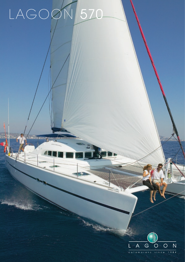## LAGOON 570

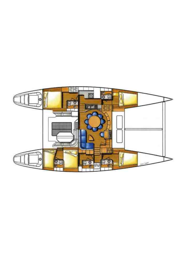